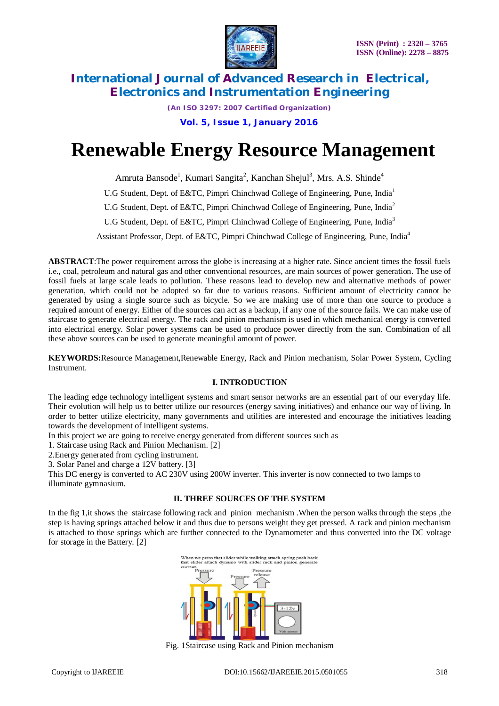

*(An ISO 3297: 2007 Certified Organization)*  **Vol. 5, Issue 1, January 2016**

# **Renewable Energy Resource Management**

Amruta Bansode<sup>1</sup>, Kumari Sangita<sup>2</sup>, Kanchan Shejul<sup>3</sup>, Mrs. A.S. Shinde<sup>4</sup>

U.G Student, Dept. of E&TC, Pimpri Chinchwad College of Engineering, Pune, India<sup>1</sup>

U.G Student, Dept. of E&TC, Pimpri Chinchwad College of Engineering, Pune, India<sup>2</sup>

U.G Student, Dept. of E&TC, Pimpri Chinchwad College of Engineering, Pune, India<sup>3</sup>

Assistant Professor, Dept. of E&TC, Pimpri Chinchwad College of Engineering, Pune, India<sup>4</sup>

**ABSTRACT**:The power requirement across the globe is increasing at a higher rate. Since ancient times the fossil fuels i.e., coal, petroleum and natural gas and other conventional resources, are main sources of power generation. The use of fossil fuels at large scale leads to pollution. These reasons lead to develop new and alternative methods of power generation, which could not be adopted so far due to various reasons. Sufficient amount of electricity cannot be generated by using a single source such as bicycle. So we are making use of more than one source to produce a required amount of energy. Either of the sources can act as a backup, if any one of the source fails. We can make use of staircase to generate electrical energy. The rack and pinion mechanism is used in which mechanical energy is converted into electrical energy. Solar power systems can be used to produce power directly from the sun. Combination of all these above sources can be used to generate meaningful amount of power.

**KEYWORDS:**Resource Management,Renewable Energy, Rack and Pinion mechanism, Solar Power System, Cycling Instrument.

### **I. INTRODUCTION**

The leading edge technology intelligent systems and smart sensor networks are an essential part of our everyday life. Their evolution will help us to better utilize our resources (energy saving initiatives) and enhance our way of living. In order to better utilize electricity, many governments and utilities are interested and encourage the initiatives leading towards the development of intelligent systems.

In this project we are going to receive energy generated from different sources such as

1. Staircase using Rack and Pinion Mechanism. [2]

2.Energy generated from cycling instrument.

3. Solar Panel and charge a 12V battery. [3]

This DC energy is converted to AC 230V using 200W inverter. This inverter is now connected to two lamps to illuminate gymnasium.

### **II. THREE SOURCES OF THE SYSTEM**

In the fig 1, it shows the staircase following rack and pinion mechanism. When the person walks through the steps, the step is having springs attached below it and thus due to persons weight they get pressed. A rack and pinion mechanism is attached to those springs which are further connected to the Dynamometer and thus converted into the DC voltage for storage in the Battery. [2]



Fig. 1Staircase using Rack and Pinion mechanism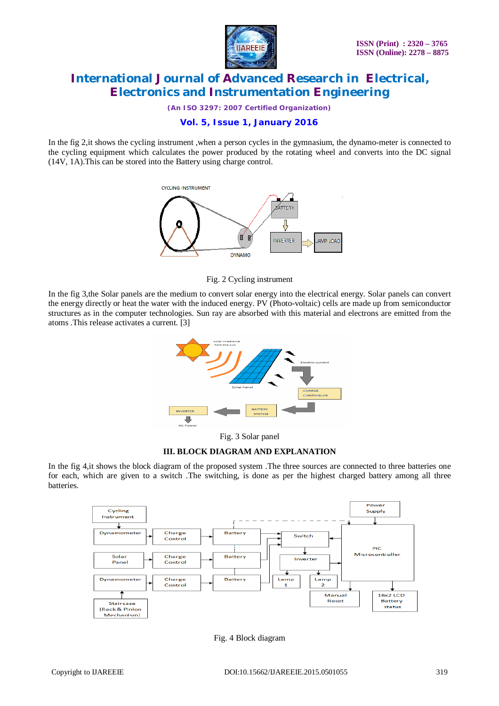

*(An ISO 3297: 2007 Certified Organization)*

## **Vol. 5, Issue 1, January 2016**

In the fig 2,it shows the cycling instrument ,when a person cycles in the gymnasium, the dynamo-meter is connected to the cycling equipment which calculates the power produced by the rotating wheel and converts into the DC signal (14V, 1A).This can be stored into the Battery using charge control.



Fig. 2 Cycling instrument

In the fig 3,the Solar panels are the medium to convert solar energy into the electrical energy. Solar panels can convert the energy directly or heat the water with the induced energy. PV (Photo-voltaic) cells are made up from semiconductor structures as in the computer technologies. Sun ray are absorbed with this material and electrons are emitted from the atoms .This release activates a current. [3]



Fig. 3 Solar panel

#### **III. BLOCK DIAGRAM AND EXPLANATION**

In the fig 4,it shows the block diagram of the proposed system .The three sources are connected to three batteries one for each, which are given to a switch .The switching, is done as per the highest charged battery among all three batteries.



Fig. 4 Block diagram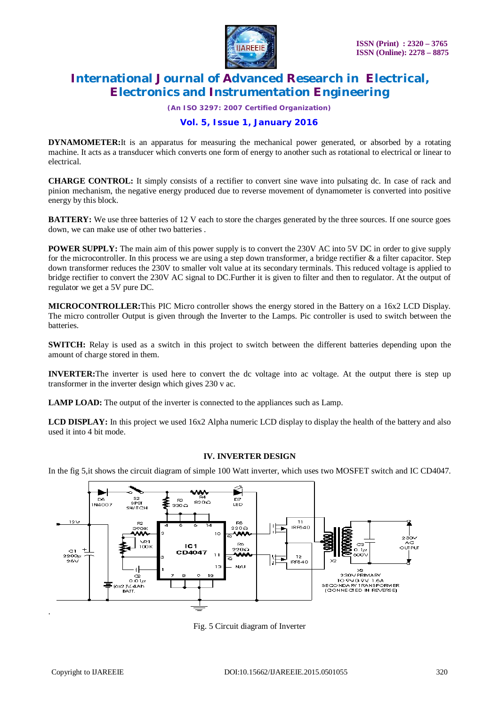

*(An ISO 3297: 2007 Certified Organization)*

## **Vol. 5, Issue 1, January 2016**

**DYNAMOMETER:**It is an apparatus for measuring the mechanical power generated, or absorbed by a rotating machine. It acts as a transducer which converts one form of energy to another such as rotational to electrical or linear to electrical.

**CHARGE CONTROL:** It simply consists of a rectifier to convert sine wave into pulsating dc. In case of rack and pinion mechanism, the negative energy produced due to reverse movement of dynamometer is converted into positive energy by this block.

**BATTERY:** We use three batteries of 12 V each to store the charges generated by the three sources. If one source goes down, we can make use of other two batteries .

**POWER SUPPLY:** The main aim of this power supply is to convert the 230V AC into 5V DC in order to give supply for the microcontroller. In this process we are using a step down transformer, a bridge rectifier  $\&$  a filter capacitor. Step down transformer reduces the 230V to smaller volt value at its secondary terminals. This reduced voltage is applied to bridge rectifier to convert the 230V AC signal to DC.Further it is given to filter and then to regulator. At the output of regulator we get a 5V pure DC.

**MICROCONTROLLER:**This PIC Micro controller shows the energy stored in the Battery on a 16x2 LCD Display. The micro controller Output is given through the Inverter to the Lamps. Pic controller is used to switch between the batteries.

**SWITCH:** Relay is used as a switch in this project to switch between the different batteries depending upon the amount of charge stored in them.

**INVERTER:**The inverter is used here to convert the dc voltage into ac voltage. At the output there is step up transformer in the inverter design which gives 230 v ac.

**LAMP LOAD:** The output of the inverter is connected to the appliances such as Lamp.

**LCD DISPLAY:** In this project we used 16x2 Alpha numeric LCD display to display the health of the battery and also used it into 4 bit mode.

#### **IV. INVERTER DESIGN**

In the fig 5,it shows the circuit diagram of simple 100 Watt inverter, which uses two MOSFET switch and IC CD4047.



Fig. 5 Circuit diagram of Inverter